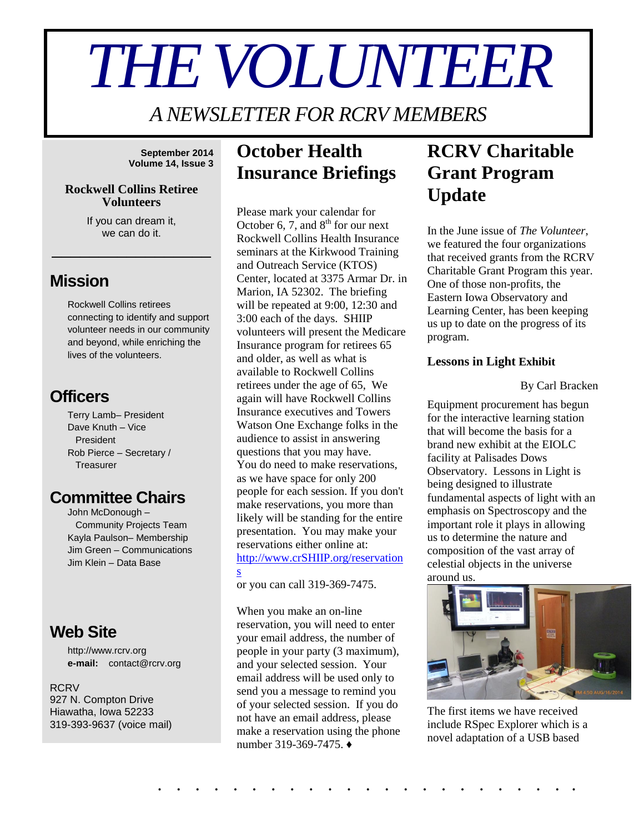# *THE VOLUNTEER*

*A NEWSLETTER FOR RCRV MEMBERS*

**September 2014 Volume 14, Issue 3**

#### **Rockwell Collins Retiree Volunteers**

If you can dream it, we can do it.

\_\_\_\_\_\_\_\_\_\_\_\_\_\_\_\_\_

### **Mission**

Rockwell Collins retirees connecting to identify and support volunteer needs in our community and beyond, while enriching the lives of the volunteers.

## **Officers**

Terry Lamb– President Dave Knuth – Vice President Rob Pierce – Secretary / **Treasurer** 

## **Committee Chairs**

John McDonough – Community Projects Team Kayla Paulson– Membership Jim Green – Communications Jim Klein – Data Base

## **Web Site**

http://www.rcrv.org **e-mail:** contact@rcrv.org

**RCRV** 927 N. Compton Drive Hiawatha, Iowa 52233 319-393-9637 (voice mail)

# **October Health Insurance Briefings**

Please mark your calendar for October 6, 7, and  $8<sup>th</sup>$  for our next Rockwell Collins Health Insurance seminars at the Kirkwood Training and Outreach Service (KTOS) Center, located at 3375 Armar Dr. in Marion, IA 52302. The briefing will be repeated at 9:00, 12:30 and 3:00 each of the days. SHIIP volunteers will present the Medicare Insurance program for retirees 65 and older, as well as what is available to Rockwell Collins retirees under the age of 65, We again will have Rockwell Collins Insurance executives and Towers Watson One Exchange folks in the audience to assist in answering questions that you may have. You do need to make reservations, as we have space for only 200 people for each session. If you don't make reservations, you more than likely will be standing for the entire presentation. You may make your reservations either online at: [http://www.crSHIIP.org/reservation](http://www.crshiip.org/reservations) [s](http://www.crshiip.org/reservations)

or you can call 319-369-7475.

When you make an on-line reservation, you will need to enter your email address, the number of people in your party (3 maximum), and your selected session. Your email address will be used only to send you a message to remind you of your selected session. If you do not have an email address, please make a reservation using the phone number 319-369-7475. ♦

. . . . . . . . . . . . . . . . . . . . . . .

# **RCRV Charitable Grant Program Update**

In the June issue of *The Volunteer*, we featured the four organizations that received grants from the RCRV Charitable Grant Program this year. One of those non-profits, the Eastern Iowa Observatory and Learning Center, has been keeping us up to date on the progress of its program.

#### **Lessons in Light Exhibit**

By Carl Bracken

Equipment procurement has begun for the interactive learning station that will become the basis for a brand new exhibit at the EIOLC facility at Palisades Dows Observatory. Lessons in Light is being designed to illustrate fundamental aspects of light with an emphasis on Spectroscopy and the important role it plays in allowing us to determine the nature and composition of the vast array of celestial objects in the universe around us.



The first items we have received include RSpec Explorer which is a novel adaptation of a USB based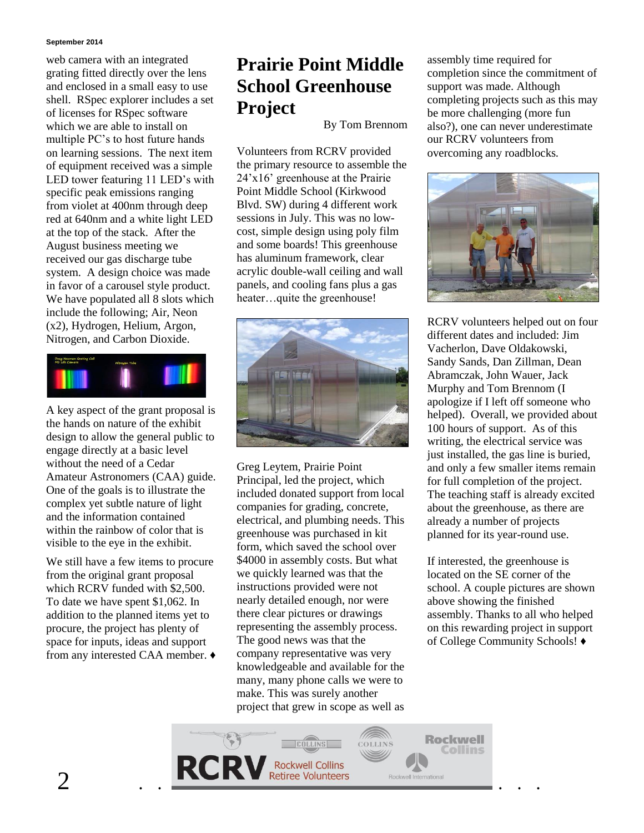#### **September 2014**

web camera with an integrated grating fitted directly over the lens and enclosed in a small easy to use shell. RSpec explorer includes a set of licenses for RSpec software which we are able to install on multiple PC's to host future hands on learning sessions. The next item of equipment received was a simple LED tower featuring 11 LED's with specific peak emissions ranging from violet at 400nm through deep red at 640nm and a white light LED at the top of the stack. After the August business meeting we received our gas discharge tube system. A design choice was made in favor of a carousel style product. We have populated all 8 slots which include the following; Air, Neon (x2), Hydrogen, Helium, Argon, Nitrogen, and Carbon Dioxide.



A key aspect of the grant proposal is the hands on nature of the exhibit design to allow the general public to engage directly at a basic level without the need of a Cedar Amateur Astronomers (CAA) guide. One of the goals is to illustrate the complex yet subtle nature of light and the information contained within the rainbow of color that is visible to the eye in the exhibit.

We still have a few items to procure from the original grant proposal which RCRV funded with \$2,500. To date we have spent \$1,062. In addition to the planned items yet to procure, the project has plenty of space for inputs, ideas and support from any interested CAA member. ♦

# **Prairie Point Middle School Greenhouse Project**

By Tom Brennom

Volunteers from RCRV provided the primary resource to assemble the 24'x16' greenhouse at the Prairie Point Middle School (Kirkwood Blvd. SW) during 4 different work sessions in July. This was no lowcost, simple design using poly film and some boards! This greenhouse has aluminum framework, clear acrylic double-wall ceiling and wall panels, and cooling fans plus a gas heater…quite the greenhouse!



Greg Leytem, Prairie Point Principal, led the project, which included donated support from local companies for grading, concrete, electrical, and plumbing needs. This greenhouse was purchased in kit form, which saved the school over \$4000 in assembly costs. But what we quickly learned was that the instructions provided were not nearly detailed enough, nor were there clear pictures or drawings representing the assembly process. The good news was that the company representative was very knowledgeable and available for the many, many phone calls we were to make. This was surely another project that grew in scope as well as assembly time required for completion since the commitment of support was made. Although completing projects such as this may be more challenging (more fun also?), one can never underestimate our RCRV volunteers from overcoming any roadblocks.



RCRV volunteers helped out on four different dates and included: Jim Vacherlon, Dave Oldakowski, Sandy Sands, Dan Zillman, Dean Abramczak, John Wauer, Jack Murphy and Tom Brennom (I apologize if I left off someone who helped). Overall, we provided about 100 hours of support. As of this writing, the electrical service was just installed, the gas line is buried, and only a few smaller items remain for full completion of the project. The teaching staff is already excited about the greenhouse, as there are already a number of projects planned for its year-round use.

If interested, the greenhouse is located on the SE corner of the school. A couple pictures are shown above showing the finished assembly. Thanks to all who helped on this rewarding project in support of College Community Schools! ♦

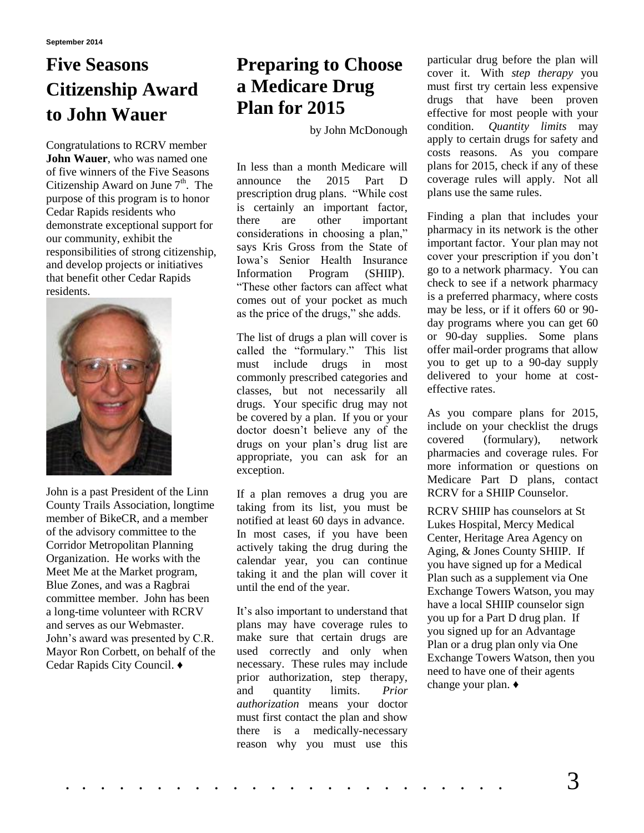# **Five Seasons Citizenship Award to John Wauer**

Congratulations to RCRV member **John Wauer**, who was named one of five winners of the Five Seasons Citizenship Award on June  $7<sup>th</sup>$ . The purpose of this program is to honor Cedar Rapids residents who demonstrate exceptional support for our community, exhibit the responsibilities of strong citizenship, and develop projects or initiatives that benefit other Cedar Rapids residents.



John is a past President of the Linn County Trails Association, longtime member of BikeCR, and a member of the advisory committee to the Corridor Metropolitan Planning Organization. He works with the Meet Me at the Market program, Blue Zones, and was a Ragbrai committee member. John has been a long-time volunteer with RCRV and serves as our Webmaster. John's award was presented by C.R. Mayor Ron Corbett, on behalf of the Cedar Rapids City Council. ♦

# **Preparing to Choose a Medicare Drug Plan for 2015**

by John McDonough

In less than a month Medicare will announce the 2015 Part D prescription drug plans. "While cost is certainly an important factor, there are other important considerations in choosing a plan," says Kris Gross from the State of Iowa's Senior Health Insurance Information Program (SHIIP). "These other factors can affect what comes out of your pocket as much as the price of the drugs," she adds.

The list of drugs a plan will cover is called the "formulary." This list must include drugs in most commonly prescribed categories and classes, but not necessarily all drugs. Your specific drug may not be covered by a plan. If you or your doctor doesn't believe any of the drugs on your plan's drug list are appropriate, you can ask for an exception.

If a plan removes a drug you are taking from its list, you must be notified at least 60 days in advance. In most cases, if you have been actively taking the drug during the calendar year, you can continue taking it and the plan will cover it until the end of the year.

It's also important to understand that plans may have coverage rules to make sure that certain drugs are used correctly and only when necessary. These rules may include prior authorization, step therapy, and quantity limits. *Prior authorization* means your doctor must first contact the plan and show there is a medically-necessary reason why you must use this particular drug before the plan will cover it. With *step therapy* you must first try certain less expensive drugs that have been proven effective for most people with your condition. *Quantity limits* may apply to certain drugs for safety and costs reasons. As you compare plans for 2015, check if any of these coverage rules will apply. Not all plans use the same rules.

Finding a plan that includes your pharmacy in its network is the other important factor. Your plan may not cover your prescription if you don't go to a network pharmacy. You can check to see if a network pharmacy is a preferred pharmacy, where costs may be less, or if it offers 60 or 90 day programs where you can get 60 or 90-day supplies. Some plans offer mail-order programs that allow you to get up to a 90-day supply delivered to your home at costeffective rates.

As you compare plans for 2015, include on your checklist the drugs covered (formulary), network pharmacies and coverage rules. For more information or questions on Medicare Part D plans, contact RCRV for a SHIIP Counselor.

RCRV SHIIP has counselors at St Lukes Hospital, Mercy Medical Center, Heritage Area Agency on Aging, & Jones County SHIIP. If you have signed up for a Medical Plan such as a supplement via One Exchange Towers Watson, you may have a local SHIIP counselor sign you up for a Part D drug plan. If you signed up for an Advantage Plan or a drug plan only via One Exchange Towers Watson, then you need to have one of their agents change your plan. ♦